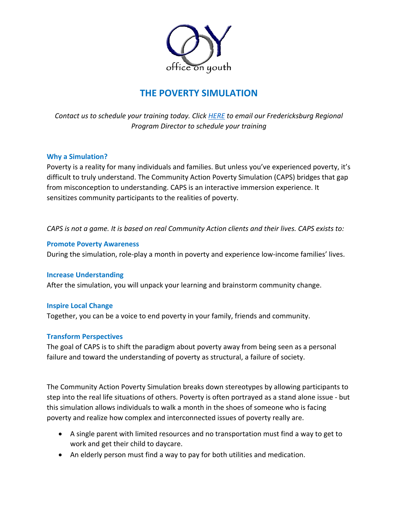

# **THE POVERTY SIMULATION**

*Contact us to schedule your training today. Click [HERE](mailto:sandy@officeonyouth.org) to email our Fredericksburg Regional Program Director to schedule your training* 

### **Why a Simulation?**

Poverty is a reality for many individuals and families. But unless you've experienced poverty, it's difficult to truly understand. The Community Action Poverty Simulation (CAPS) bridges that gap from misconception to understanding. CAPS is an interactive immersion experience. It sensitizes community participants to the realities of poverty.

*CAPS is not a game. It is based on real Community Action clients and their lives. CAPS exists to:* 

### **Promote Poverty Awareness**

During the simulation, role-play a month in poverty and experience low-income families' lives.

### **Increase Understanding**

After the simulation, you will unpack your learning and brainstorm community change.

### **Inspire Local Change**

Together, you can be a voice to end poverty in your family, friends and community.

### **Transform Perspectives**

The goal of CAPS is to shift the paradigm about poverty away from being seen as a personal failure and toward the understanding of poverty as structural, a failure of society.

The Community Action Poverty Simulation breaks down stereotypes by allowing participants to step into the real life situations of others. Poverty is often portrayed as a stand alone issue - but this simulation allows individuals to walk a month in the shoes of someone who is facing poverty and realize how complex and interconnected issues of poverty really are.

- A single parent with limited resources and no transportation must find a way to get to work and get their child to daycare.
- An elderly person must find a way to pay for both utilities and medication.